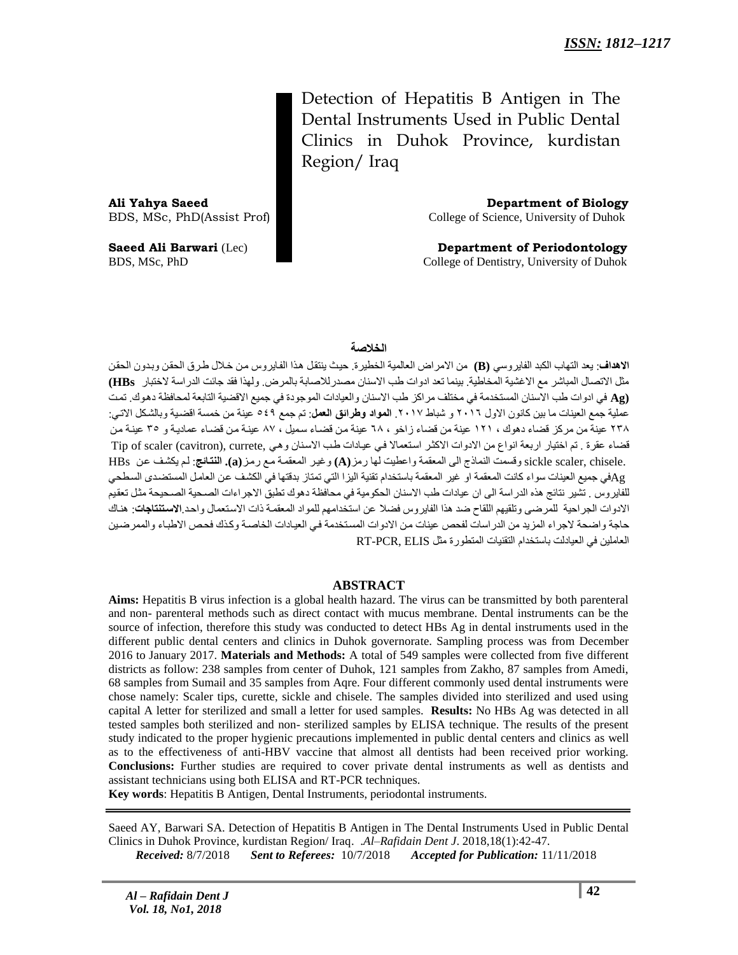Detection of Hepatitis B Antigen in The Dental Instruments Used in Public Dental Clinics in Duhok Province, kurdistan Region/ Iraq

**Ali Yahya Saeed Department of Biology**

BDS, MSc, PhD(Assist Prof) College of Science, University of Duhok

**Saeed Ali Barwari** (Lec) **Department of Periodontology** BDS, MSc, PhD **College of Dentistry, University of Duhok** 

### **الخالصة**

**الاهداف**: يعد التهاب الكبد الفايروسي (B) من الامراض العالمية الخطيرة. حيث ينتقل هذا الفايروس من خلال طرق الحقن وبدون الحقن مثل الاتصال المباشر مع الاغشية المخاطية. بينما تعد ادوات طب الاسنان مصدر للاصابة بالمرض. ولهذا فقد جائت الدراسة لاختبار HBs) **(Ag في ادوات طب الاسنان المستخدمة في مختلف مراكز طب الاسنان والعيادات الموجودة في جميع الاقضية التابعة لمحافظة دهوك. تمت** عملية جمع العينات ما بين كانون الاول ٢٠١٦ و شباط ٢٠١٧. ا**لمواد وطرائق العمل**: تم جمع ٤٤٩ عينة من خمسة اقضية وبالشكل الاتي: ٢٣٨ عينة من مركز قضاء دهوك ، ١٢١ عينة من قضاء زاخو ، ٦٨ عينة من قضاء سميل ، ٨٧ عينة من قضاء عمادية و ٣٥ عينة من قضاء عقرة . تم اختيار اربعة انواع من الادوات الاكثر استعمالا في عيادات طب الاسنان وهي ,Tip of scaler (cavitron .chisele ,scaler sickle وقسود الٌوارج الً الوؼلوح واػطيد لها سهض**(A (**وغيثش الوؼلوثح هثغ سهثض**(a(. النتائئ** : لثن يكشثف ػثي HBs في جميع العينات سواء كانت المعقمة او غير المعقمة باستخدام تقنية اليزا التي تمتاز بدقتها في الكشف عن العامل المستضدى السطحي ${\rm Ag}$ للفاير وس . تشير نتائج هذه الدراسة الى ان عيادات طب الاسنان الحكومية في محافظة دهوك تطبق الاجراءات الصحية الصحيحة مثل تعقيم الادوات الجراحية للمرضى وتلقيهم اللقاح ضد هذا الفايروس فضلا عن استخدامهم للمواد المعقمة ذات الاستعمال واحد الا**ستنتاجات**: هناك حاجة واضحة لاجراء المزيد من الدراسات لفحص عينات من الادوات المستخدمة في العيادات الخاصـة وكذك فحص الاطبـاء والممر ضين العاملين في العيادلت باستخدام التقنيات المتطور ة مثل RT-PCR. ELIS

#### **ABSTRACT**

**Aims:** Hepatitis B virus infection is a global health hazard. The virus can be transmitted by both parenteral and non- parenteral methods such as direct contact with mucus membrane. Dental instruments can be the source of infection, therefore this study was conducted to detect HBs Ag in dental instruments used in the different public dental centers and clinics in Duhok governorate. Sampling process was from December 2016 to January 2017. **Materials and Methods:** A total of 549 samples were collected from five different districts as follow: 238 samples from center of Duhok, 121 samples from Zakho, 87 samples from Amedi, 68 samples from Sumail and 35 samples from Aqre. Four different commonly used dental instruments were chose namely: Scaler tips, curette, sickle and chisele. The samples divided into sterilized and used using capital A letter for sterilized and small a letter for used samples. **Results:** No HBs Ag was detected in all tested samples both sterilized and non- sterilized samples by ELISA technique. The results of the present study indicated to the proper hygienic precautions implemented in public dental centers and clinics as well as to the effectiveness of anti-HBV vaccine that almost all dentists had been received prior working. **Conclusions:** Further studies are required to cover private dental instruments as well as dentists and assistant technicians using both ELISA and RT-PCR techniques.

**Key words**: Hepatitis B Antigen, Dental Instruments, periodontal instruments.

Saeed AY, Barwari SA. Detection of Hepatitis B Antigen in The Dental Instruments Used in Public Dental Clinics in Duhok Province, kurdistan Region/ Iraq. .*Al–Rafidain Dent J*. 2018,18(1):42-47.

 *Received:* 8/7/2018 *Sent to Referees:* 10/7/2018 *Accepted for Publication:* 11/11/2018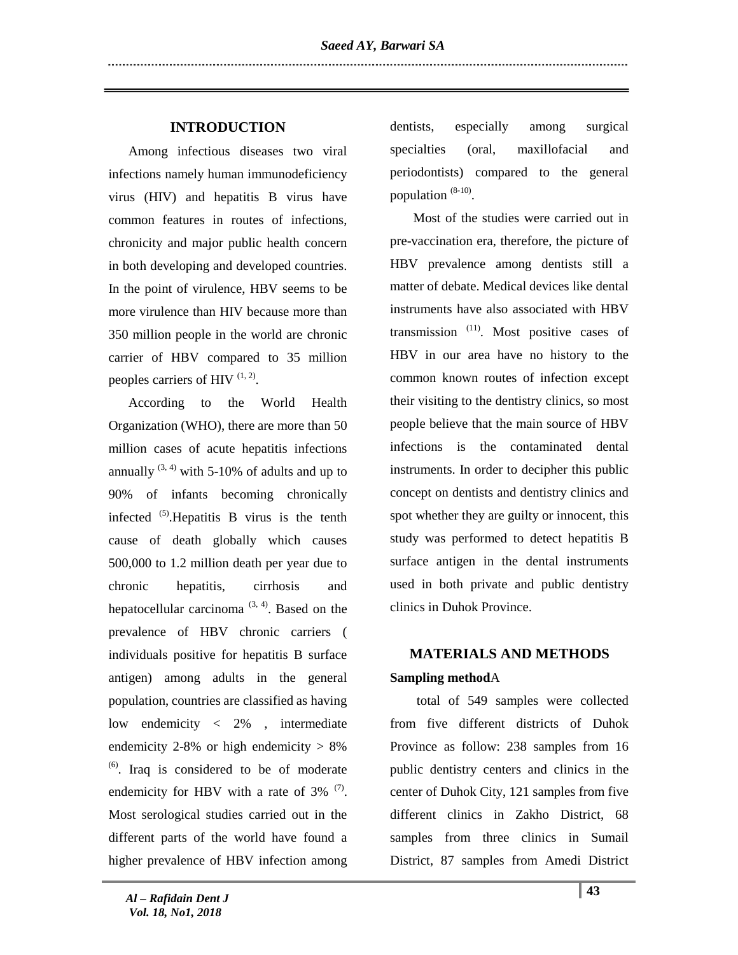# **INTRODUCTION**

 Among infectious diseases two viral infections namely human immunodeficiency virus (HIV) and hepatitis B virus have common features in routes of infections, chronicity and major public health concern in both developing and developed countries. In the point of virulence, HBV seems to be more virulence than HIV because more than 350 million people in the world are chronic carrier of HBV compared to 35 million peoples carriers of HIV  $(1, 2)$ .

 According to the World Health Organization (WHO), there are more than 50 million cases of acute hepatitis infections annually  $(3, 4)$  with 5-10% of adults and up to 90% of infants becoming chronically infected  $<sup>(5)</sup>$ . Hepatitis B virus is the tenth</sup> cause of death globally which causes 500,000 to 1.2 million death per year due to chronic hepatitis, cirrhosis and hepatocellular carcinoma<sup> $(3, 4)$ </sup>. Based on the prevalence of HBV chronic carriers ( individuals positive for hepatitis B surface antigen) among adults in the general population, countries are classified as having low endemicity < 2% , intermediate endemicity  $2-8\%$  or high endemicity  $> 8\%$  $<sup>(6)</sup>$ . Iraq is considered to be of moderate</sup> endemicity for HBV with a rate of  $3\%$   $(7)$ . Most serological studies carried out in the different parts of the world have found a higher prevalence of HBV infection among

dentists, especially among surgical specialties (oral, maxillofacial and periodontists) compared to the general population  $(8-10)$ .

 Most of the studies were carried out in pre-vaccination era, therefore, the picture of HBV prevalence among dentists still a matter of debate. Medical devices like dental instruments have also associated with HBV transmission  $(11)$ . Most positive cases of HBV in our area have no history to the common known routes of infection except their visiting to the dentistry clinics, so most people believe that the main source of HBV infections is the contaminated dental instruments. In order to decipher this public concept on dentists and dentistry clinics and spot whether they are guilty or innocent, this study was performed to detect hepatitis B surface antigen in the dental instruments used in both private and public dentistry clinics in Duhok Province.

# **MATERIALS AND METHODS Sampling method**A

 total of 549 samples were collected from five different districts of Duhok Province as follow: 238 samples from 16 public dentistry centers and clinics in the center of Duhok City, 121 samples from five different clinics in Zakho District, 68 samples from three clinics in Sumail District, 87 samples from Amedi District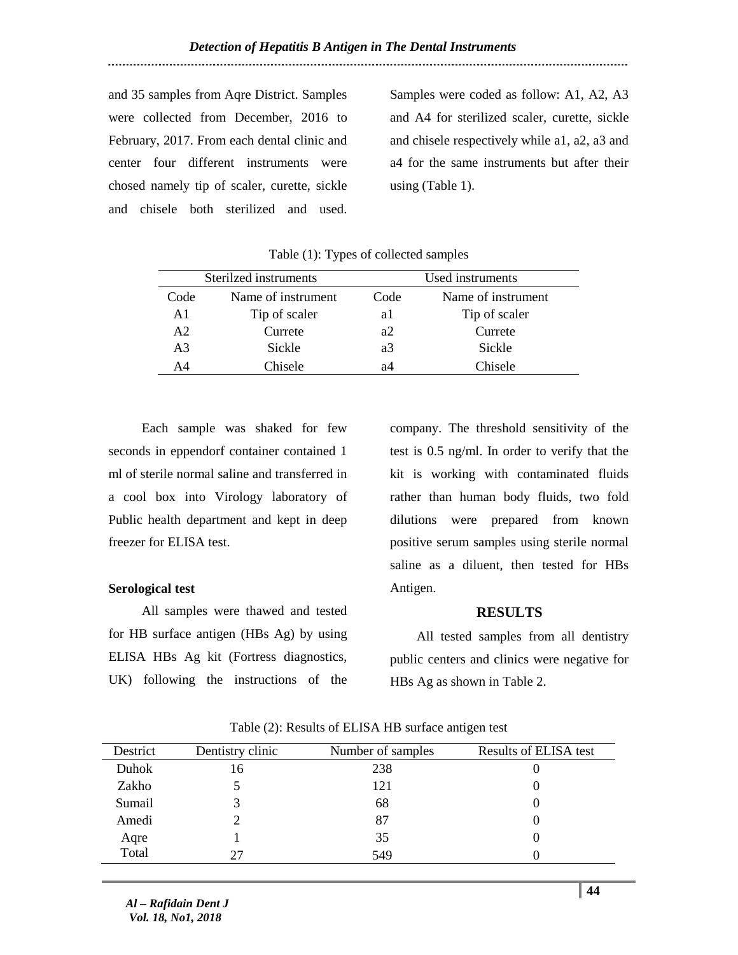and 35 samples from Aqre District. Samples were collected from December, 2016 to February, 2017. From each dental clinic and center four different instruments were chosed namely tip of scaler, curette, sickle and chisele both sterilized and used.

Samples were coded as follow: A1, A2, A3 and A4 for sterilized scaler, curette, sickle and chisele respectively while a1, a2, a3 and a4 for the same instruments but after their using (Table 1).

|                | Sterilzed instruments      | Used instruments |                    |  |
|----------------|----------------------------|------------------|--------------------|--|
| Code           | Name of instrument<br>Code |                  | Name of instrument |  |
| A1             | Tip of scaler              | al               | Tip of scaler      |  |
| A2             | Currete                    | a2               | Currete            |  |
| A <sub>3</sub> | Sickle                     | a3               | Sickle             |  |
| ΔΔ             | Chisele                    | а4               | Chisele            |  |

Table (1): Types of collected samples

 Each sample was shaked for few seconds in eppendorf container contained 1 ml of sterile normal saline and transferred in a cool box into Virology laboratory of Public health department and kept in deep freezer for ELISA test.

#### **Serological test**

 All samples were thawed and tested for HB surface antigen (HBs Ag) by using ELISA HBs Ag kit (Fortress diagnostics, UK) following the instructions of the

company. The threshold sensitivity of the test is 0.5 ng/ml. In order to verify that the kit is working with contaminated fluids rather than human body fluids, two fold dilutions were prepared from known positive serum samples using sterile normal saline as a diluent, then tested for HBs Antigen.

## **RESULTS**

All tested samples from all dentistry public centers and clinics were negative for HBs Ag as shown in Table 2.

| Destrict | Dentistry clinic | Number of samples | <b>Results of ELISA test</b> |
|----------|------------------|-------------------|------------------------------|
| Duhok    | Iб               | 238               |                              |
| Zakho    |                  | 121               |                              |
| Sumail   |                  | 68                |                              |
| Amedi    |                  | 87                |                              |
| Aqre     |                  | 35                |                              |
| Total    | フフ               | 549               |                              |

Table (2): Results of ELISA HB surface antigen test

*Al – Rafidain Dent J Vol. 18, No1, 2018*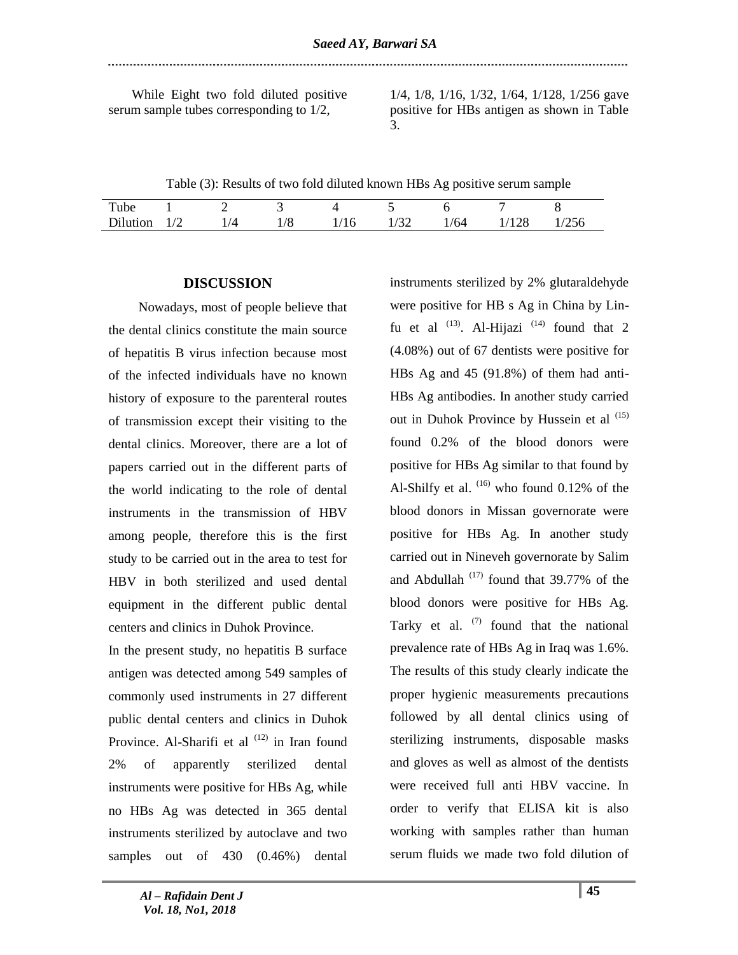While Eight two fold diluted positive serum sample tubes corresponding to 1/2,

1/4, 1/8, 1/16, 1/32, 1/64, 1/128, 1/256 gave positive for HBs antigen as shown in Table 3.

instruments sterilized by 2% glutaraldehyde were positive for HB s Ag in China by Lin-

Table (3): Results of two fold diluted known HBs Ag positive serum sample

| Tube     |     |     |     |    |      |      |       |  |
|----------|-----|-----|-----|----|------|------|-------|--|
| Dilution | 1/2 | 1/4 | 1/8 | 16 | 1/32 | 1/64 | 1/128 |  |

### **DISCUSSION**

 Nowadays, most of people believe that the dental clinics constitute the main source of hepatitis B virus infection because most of the infected individuals have no known history of exposure to the parenteral routes of transmission except their visiting to the dental clinics. Moreover, there are a lot of papers carried out in the different parts of the world indicating to the role of dental instruments in the transmission of HBV among people, therefore this is the first study to be carried out in the area to test for HBV in both sterilized and used dental equipment in the different public dental centers and clinics in Duhok Province.

In the present study, no hepatitis B surface antigen was detected among 549 samples of commonly used instruments in 27 different public dental centers and clinics in Duhok Province. Al-Sharifi et al  $(12)$  in Iran found 2% of apparently sterilized dental instruments were positive for HBs Ag, while no HBs Ag was detected in 365 dental instruments sterilized by autoclave and two samples out of 430 (0.46%) dental

fu et al  $^{(13)}$ . Al-Hijazi  $^{(14)}$  found that 2 (4.08%) out of 67 dentists were positive for HBs Ag and 45 (91.8%) of them had anti-HBs Ag antibodies. In another study carried out in Duhok Province by Hussein et al  $(15)$ found 0.2% of the blood donors were positive for HBs Ag similar to that found by Al-Shilfy et al.  $(16)$  who found 0.12% of the blood donors in Missan governorate were positive for HBs Ag. In another study carried out in Nineveh governorate by Salim and Abdullah  $(17)$  found that 39.77% of the blood donors were positive for HBs Ag. Tarky et al.  $(7)$  found that the national prevalence rate of HBs Ag in Iraq was 1.6%. The results of this study clearly indicate the proper hygienic measurements precautions followed by all dental clinics using of sterilizing instruments, disposable masks and gloves as well as almost of the dentists were received full anti HBV vaccine. In order to verify that ELISA kit is also working with samples rather than human serum fluids we made two fold dilution of

*Al – Rafidain Dent J Vol. 18, No1, 2018*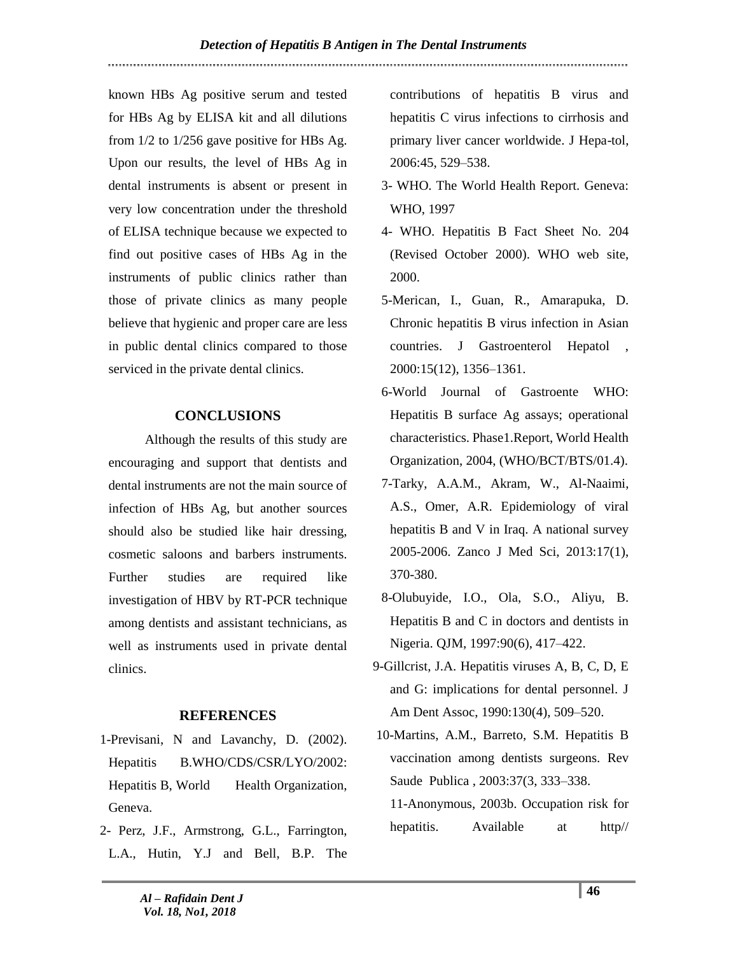known HBs Ag positive serum and tested for HBs Ag by ELISA kit and all dilutions from 1/2 to 1/256 gave positive for HBs Ag. Upon our results, the level of HBs Ag in dental instruments is absent or present in very low concentration under the threshold of ELISA technique because we expected to find out positive cases of HBs Ag in the instruments of public clinics rather than those of private clinics as many people believe that hygienic and proper care are less in public dental clinics compared to those serviced in the private dental clinics.

# **CONCLUSIONS**

 Although the results of this study are encouraging and support that dentists and dental instruments are not the main source of infection of HBs Ag, but another sources should also be studied like hair dressing, cosmetic saloons and barbers instruments. Further studies are required like investigation of HBV by RT-PCR technique among dentists and assistant technicians, as well as instruments used in private dental clinics.

## **REFERENCES**

- 1-Previsani, N and Lavanchy, D. (2002). Hepatitis B.WHO/CDS/CSR/LYO/2002: Hepatitis B, World Health Organization, Geneva.
- 2- Perz, J.F., Armstrong, G.L., Farrington, L.A., Hutin, Y.J and Bell, B.P. The

contributions of hepatitis B virus and hepatitis C virus infections to cirrhosis and primary liver cancer worldwide. J Hepa-tol, 2006:45, 529–538.

- 3- WHO. The World Health Report. Geneva: WHO, 1997
- 4- WHO. Hepatitis B Fact Sheet No. 204 (Revised October 2000). WHO web site, 2000.
- 5-Merican, I., Guan, R., Amarapuka, D. Chronic hepatitis B virus infection in Asian countries. J Gastroenterol Hepatol , 2000:15(12), 1356–1361.
- 6-World Journal of Gastroente WHO: Hepatitis B surface Ag assays; operational characteristics. Phase1.Report, World Health Organization, 2004, (WHO/BCT/BTS/01.4).
- 7-Tarky, A.A.M., Akram, W., Al-Naaimi, A.S., Omer, A.R. Epidemiology of viral hepatitis B and V in Iraq. A national survey 2005-2006. Zanco J Med Sci, 2013:17(1), 370-380.
- 8-Olubuyide, I.O., Ola, S.O., Aliyu, B. Hepatitis B and C in doctors and dentists in Nigeria. QJM, 1997:90(6), 417–422.
- 9-Gillcrist, J.A. Hepatitis viruses A, B, C, D, E and G: implications for dental personnel. J Am Dent Assoc, 1990:130(4), 509–520.
- 10-Martins, A.M., Barreto, S.M. Hepatitis B vaccination among dentists surgeons. Rev Saude Publica , 2003:37(3, 333–338.
	- 11-Anonymous, 2003b. Occupation risk for hepatitis. Available at http//